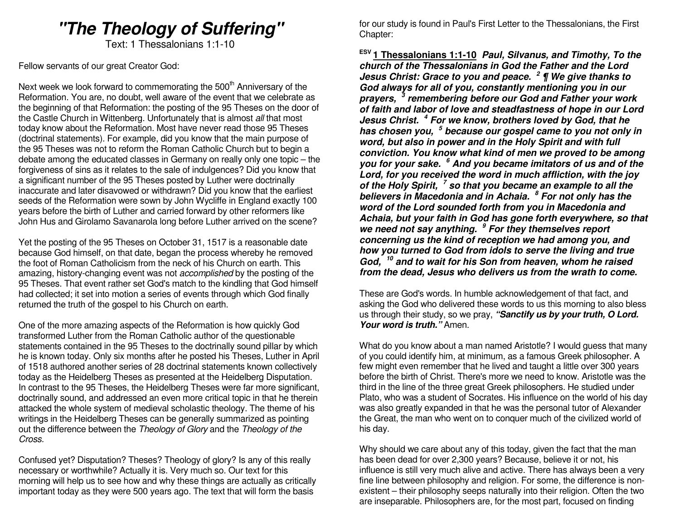# **"The Theology of Suffering"**

Text: 1 Thessalonians 1:1-10

Fellow servants of our great Creator God:

Next week we look forward to commemorating the  $500<sup>th</sup>$  Anniversary of the Reformation. You are, no doubt, well aware of the event that we celebrate as the beginning of that Reformation: the posting of the 95 Theses on the door of the Castle Church in Wittenberg. Unfortunately that is almost all that most today know about the Reformation. Most have never read those 95 Theses (doctrinal statements). For example, did you know that the main purpose of the 95 Theses was not to reform the Roman Catholic Church but to begin a debate among the educated classes in Germany on really only one topic – the forgiveness of sins as it relates to the sale of indulgences? Did you know that a significant number of the 95 Theses posted by Luther were doctrinally inaccurate and later disavowed or withdrawn? Did you know that the earliest seeds of the Reformation were sown by John Wycliffe in England exactly 100 years before the birth of Luther and carried forward by other reformers like John Hus and Girolamo Savanarola long before Luther arrived on the scene?

Yet the posting of the 95 Theses on October 31, 1517 is a reasonable date because God himself, on that date, began the process whereby he removed the foot of Roman Catholicism from the neck of his Church on earth. This amazing, history-changing event was not *accomplished* by the posting of the 95 Theses. That event rather set God's match to the kindling that God himself had collected; it set into motion a series of events through which God finally returned the truth of the gospel to his Church on earth.

One of the more amazing aspects of the Reformation is how quickly God transformed Luther from the Roman Catholic author of the questionable statements contained in the 95 Theses to the doctrinally sound pillar by which he is known today. Only six months after he posted his Theses, Luther in April of 1518 authored another series of 28 doctrinal statements known collectively today as the Heidelberg Theses as presented at the Heidelberg Disputation. In contrast to the 95 Theses, the Heidelberg Theses were far more significant, doctrinally sound, and addressed an even more critical topic in that he therein attacked the whole system of medieval scholastic theology. The theme of his writings in the Heidelberg Theses can be generally summarized as pointing out the difference between the Theology of Glory and the Theology of the Cross.

Confused yet? Disputation? Theses? Theology of glory? Is any of this really necessary or worthwhile? Actually it is. Very much so. Our text for this morning will help us to see how and why these things are actually as critically important today as they were 500 years ago. The text that will form the basis

for our study is found in Paul's First Letter to the Thessalonians, the First Chapter:

**ESV 1 Thessalonians 1:1-10 Paul, Silvanus, and Timothy, To the church of the Thessalonians in God the Father and the Lord Jesus Christ: Grace to you and peace. <sup>2</sup> ¶ We give thanks to God always for all of you, constantly mentioning you in our prayers, <sup>3</sup> remembering before our God and Father your work of faith and labor of love and steadfastness of hope in our Lord Jesus Christ. <sup>4</sup> For we know, brothers loved by God, that he has chosen you, <sup>5</sup> because our gospel came to you not only in word, but also in power and in the Holy Spirit and with full conviction. You know what kind of men we proved to be among you for your sake. <sup>6</sup> And you became imitators of us and of the Lord, for you received the word in much affliction, with the joy of the Holy Spirit, <sup>7</sup> so that you became an example to all the believers in Macedonia and in Achaia. <sup>8</sup> For not only has the word of the Lord sounded forth from you in Macedonia and Achaia, but your faith in God has gone forth everywhere, so that we need not say anything. <sup>9</sup> For they themselves report concerning us the kind of reception we had among you, and how you turned to God from idols to serve the living and true God, <sup>10</sup> and to wait for his Son from heaven, whom he raised from the dead, Jesus who delivers us from the wrath to come.** 

These are God's words. In humble acknowledgement of that fact, and asking the God who delivered these words to us this morning to also bless us through their study, so we pray, **"Sanctify us by your truth, O Lord. Your word is truth."** Amen.

What do you know about a man named Aristotle? I would guess that many of you could identify him, at minimum, as a famous Greek philosopher. A few might even remember that he lived and taught a little over 300 years before the birth of Christ. There's more we need to know. Aristotle was the third in the line of the three great Greek philosophers. He studied under Plato, who was a student of Socrates. His influence on the world of his day was also greatly expanded in that he was the personal tutor of Alexander the Great, the man who went on to conquer much of the civilized world of his day.

Why should we care about any of this today, given the fact that the man has been dead for over 2,300 years? Because, believe it or not, his influence is still very much alive and active. There has always been a very fine line between philosophy and religion. For some, the difference is nonexistent – their philosophy seeps naturally into their religion. Often the two are inseparable. Philosophers are, for the most part, focused on finding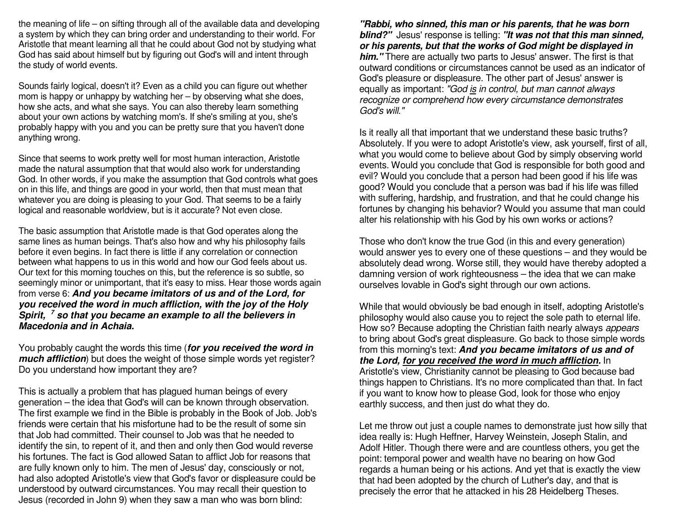the meaning of life – on sifting through all of the available data and developing a system by which they can bring order and understanding to their world. For Aristotle that meant learning all that he could about God not by studying what God has said about himself but by figuring out God's will and intent through the study of world events.

Sounds fairly logical, doesn't it? Even as a child you can figure out whether mom is happy or unhappy by watching her – by observing what she does, how she acts, and what she says. You can also thereby learn something about your own actions by watching mom's. If she's smiling at you, she's probably happy with you and you can be pretty sure that you haven't done anything wrong.

Since that seems to work pretty well for most human interaction, Aristotle made the natural assumption that that would also work for understanding God. In other words, if you make the assumption that God controls what goes on in this life, and things are good in your world, then that must mean that whatever you are doing is pleasing to your God. That seems to be a fairly logical and reasonable worldview, but is it accurate? Not even close.

The basic assumption that Aristotle made is that God operates along the same lines as human beings. That's also how and why his philosophy fails before it even begins. In fact there is little if any correlation or connection between what happens to us in this world and how our God feels about us. Our text for this morning touches on this, but the reference is so subtle, so seemingly minor or unimportant, that it's easy to miss. Hear those words again from verse 6: **And you became imitators of us and of the Lord, for you received the word in much affliction, with the joy of the Holy Spirit, <sup>7</sup> so that you became an example to all the believers in Macedonia and in Achaia.**

You probably caught the words this time (**for you received the word in much affliction**) but does the weight of those simple words yet register? Do you understand how important they are?

This is actually a problem that has plagued human beings of every generation – the idea that God's will can be known through observation. The first example we find in the Bible is probably in the Book of Job. Job's friends were certain that his misfortune had to be the result of some sin that Job had committed. Their counsel to Job was that he needed to identify the sin, to repent of it, and then and only then God would reverse his fortunes. The fact is God allowed Satan to afflict Job for reasons that are fully known only to him. The men of Jesus' day, consciously or not, had also adopted Aristotle's view that God's favor or displeasure could be understood by outward circumstances. You may recall their question to Jesus (recorded in John 9) when they saw a man who was born blind:

**"Rabbi, who sinned, this man or his parents, that he was born blind?"** Jesus' response is telling: **"It was not that this man sinned, or his parents, but that the works of God might be displayed in him."** There are actually two parts to Jesus' answer. The first is that outward conditions or circumstances cannot be used as an indicator of God's pleasure or displeasure. The other part of Jesus' answer is equally as important: "God is in control, but man cannot always recognize or comprehend how every circumstance demonstrates God's will."

Is it really all that important that we understand these basic truths? Absolutely. If you were to adopt Aristotle's view, ask yourself, first of all, what you would come to believe about God by simply observing world events. Would you conclude that God is responsible for both good and evil? Would you conclude that a person had been good if his life was good? Would you conclude that a person was bad if his life was filled with suffering, hardship, and frustration, and that he could change his fortunes by changing his behavior? Would you assume that man could alter his relationship with his God by his own works or actions?

Those who don't know the true God (in this and every generation) would answer yes to every one of these questions – and they would be absolutely dead wrong. Worse still, they would have thereby adopted a damning version of work righteousness – the idea that we can make ourselves lovable in God's sight through our own actions.

While that would obviously be bad enough in itself, adopting Aristotle's philosophy would also cause you to reject the sole path to eternal life. How so? Because adopting the Christian faith nearly always appears to bring about God's great displeasure. Go back to those simple words from this morning's text: **And you became imitators of us and of the Lord, for you received the word in much affliction.** In Aristotle's view, Christianity cannot be pleasing to God because bad things happen to Christians. It's no more complicated than that. In fact if you want to know how to please God, look for those who enjoy earthly success, and then just do what they do.

Let me throw out just a couple names to demonstrate just how silly that idea really is: Hugh Heffner, Harvey Weinstein, Joseph Stalin, and Adolf Hitler. Though there were and are countless others, you get the point: temporal power and wealth have no bearing on how God regards a human being or his actions. And yet that is exactly the view that had been adopted by the church of Luther's day, and that is precisely the error that he attacked in his 28 Heidelberg Theses.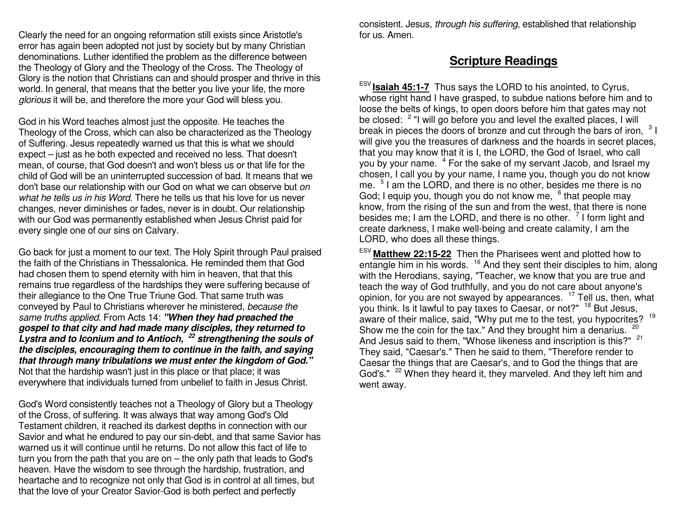Clearly the need for an ongoing reformation still exists since Aristotle's error has again been adopted not just by society but by many Christian denominations. Luther identified the problem as the difference between the Theology of Glory and the Theology of the Cross. The Theology of Glory is the notion that Christians can and should prosper and thrive in this world. In general, that means that the better you live your life, the more glorious it will be, and therefore the more your God will bless you.

God in his Word teaches almost just the opposite. He teaches the Theology of the Cross, which can also be characterized as the Theology of Suffering. Jesus repeatedly warned us that this is what we should expect – just as he both expected and received no less. That doesn't mean, of course, that God doesn't and won't bless us or that life for the child of God will be an uninterrupted succession of bad. It means that we don't base our relationship with our God on what we can observe but on what he tells us in his Word. There he tells us that his love for us never changes, never diminishes or fades, never is in doubt. Our relationship with our God was permanently established when Jesus Christ paid for every single one of our sins on Calvary.

Go back for just a moment to our text. The Holy Spirit through Paul praised the faith of the Christians in Thessalonica. He reminded them that God had chosen them to spend eternity with him in heaven, that that this remains true regardless of the hardships they were suffering because of their allegiance to the One True Triune God. That same truth was conveyed by Paul to Christians wherever he ministered, because the same truths applied. From Acts 14: **"When they had preached the gospel to that city and had made many disciples, they returned to Lystra and to Iconium and to Antioch, <sup>22</sup> strengthening the souls of the disciples, encouraging them to continue in the faith, and saying that through many tribulations we must enter the kingdom of God."**Not that the hardship wasn't just in this place or that place; it was everywhere that individuals turned from unbelief to faith in Jesus Christ.

God's Word consistently teaches not a Theology of Glory but a Theology of the Cross, of suffering. It was always that way among God's Old Testament children, it reached its darkest depths in connection with our Savior and what he endured to pay our sin-debt, and that same Savior has warned us it will continue until he returns. Do not allow this fact of life to turn you from the path that you are on – the only path that leads to God's heaven. Have the wisdom to see through the hardship, frustration, and heartache and to recognize not only that God is in control at all times, but that the love of your Creator Savior-God is both perfect and perfectly

consistent. Jesus, through his suffering, established that relationship for us. Amen.

### **Scripture Readings**

ESV **Isaiah 45:1-7** Thus says the LORD to his anointed, to Cyrus, whose right hand I have grasped, to subdue nations before him and to loose the belts of kings, to open doors before him that gates may not be closed: <sup>2</sup> "I will go before you and level the exalted places, I will break in pieces the doors of bronze and cut through the bars of iron,  $31$  will give you the treasures of darkness and the hoards in secret places, that you may know that it is I, the LORD, the God of Israel, who call you by your name. <sup>4</sup> For the sake of my servant Jacob, and Israel my chosen, I call you by your name, I name you, though you do not know me. <sup>5</sup> I am the LORD, and there is no other, besides me there is no God; I equip you, though you do not know me,  $6$  that people may know, from the rising of the sun and from the west, that there is none besides me; I am the LORD, and there is no other.  $\frac{7}{1}$  form light and create darkness, I make well-being and create calamity, I am the LORD, who does all these things.

ESV **Matthew 22:15-22** Then the Pharisees went and plotted how to entangle him in his words. <sup>16</sup> And they sent their disciples to him, along with the Herodians, saying, "Teacher, we know that you are true and teach the way of God truthfully, and you do not care about anyone's opinion, for you are not swayed by appearances. <sup>17</sup> Tell us, then, what you think. Is it lawful to pay taxes to Caesar, or not?" <sup>18</sup> But Jesus, aware of their malice, said, "Why put me to the test, you hypocrites? <sup>19</sup> Show me the coin for the tax." And they brought him a denarius. And Jesus said to them, "Whose likeness and inscription is this?" <sup>21</sup> They said, "Caesar's." Then he said to them, "Therefore render to Caesar the things that are Caesar's, and to God the things that are God's." <sup>22</sup> When they heard it, they marveled. And they left him and went away.